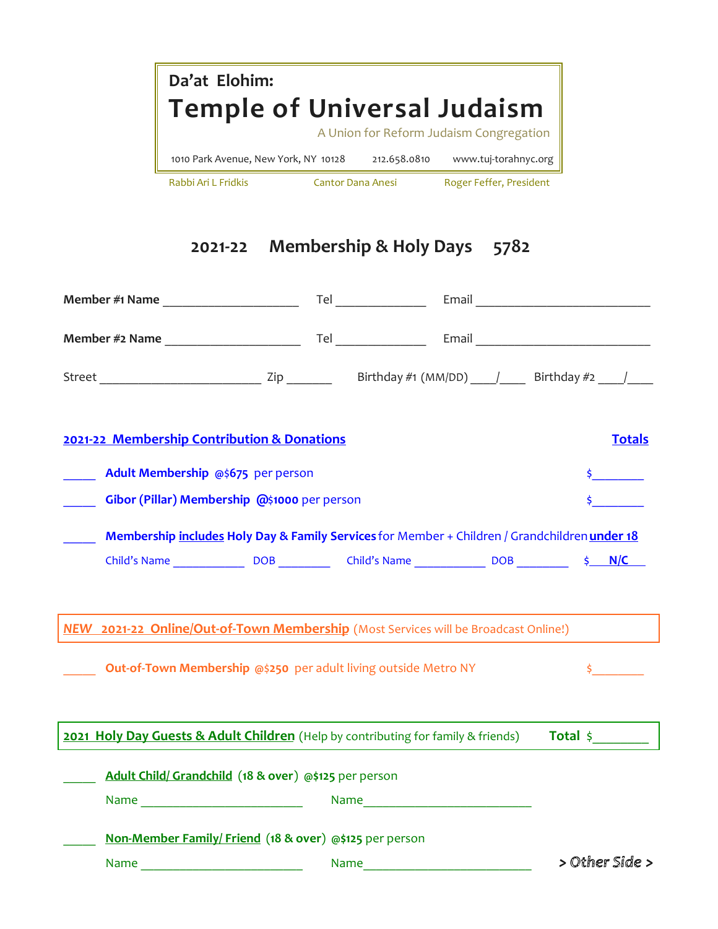|                                                                                     |                                                                                                                                   | Da'at Elohim: |                                         |  |                     |
|-------------------------------------------------------------------------------------|-----------------------------------------------------------------------------------------------------------------------------------|---------------|-----------------------------------------|--|---------------------|
|                                                                                     | <b>Temple of Universal Judaism</b>                                                                                                |               | A Union for Reform Judaism Congregation |  |                     |
|                                                                                     | 1010 Park Avenue, New York, NY 10128 212.658.0810 www.tuj-torahnyc.org                                                            |               |                                         |  |                     |
|                                                                                     | Rabbi Ari L Fridkis Cantor Dana Anesi Roger Feffer, President                                                                     |               |                                         |  |                     |
|                                                                                     |                                                                                                                                   |               |                                         |  |                     |
|                                                                                     |                                                                                                                                   |               |                                         |  |                     |
|                                                                                     |                                                                                                                                   |               | 2021-22 Membership & Holy Days 5782     |  |                     |
|                                                                                     |                                                                                                                                   |               |                                         |  |                     |
|                                                                                     |                                                                                                                                   |               |                                         |  |                     |
|                                                                                     |                                                                                                                                   |               |                                         |  |                     |
|                                                                                     |                                                                                                                                   |               |                                         |  |                     |
|                                                                                     | 2021-22 Membership Contribution & Donations<br>Adult Membership @\$675 per person<br>Gibor (Pillar) Membership @\$1000 per person |               |                                         |  | <b>Totals</b>       |
|                                                                                     |                                                                                                                                   |               |                                         |  |                     |
|                                                                                     | Membership includes Holy Day & Family Services for Member + Children / Grandchildren under 18                                     |               |                                         |  |                     |
|                                                                                     |                                                                                                                                   |               |                                         |  |                     |
| NEW 2021-22 Online/Out-of-Town Membership (Most Services will be Broadcast Online!) |                                                                                                                                   |               |                                         |  |                     |
|                                                                                     |                                                                                                                                   |               |                                         |  |                     |
|                                                                                     | Out-of-Town Membership @\$250 per adult living outside Metro NY                                                                   |               |                                         |  |                     |
|                                                                                     |                                                                                                                                   |               |                                         |  |                     |
| 2021 Holy Day Guests & Adult Children (Help by contributing for family & friends)   |                                                                                                                                   |               |                                         |  | Total $\frac{1}{2}$ |
|                                                                                     | Adult Child/Grandchild (18 & over) @\$125 per person                                                                              |               |                                         |  |                     |
|                                                                                     | Name ______________________________                                                                                               |               |                                         |  |                     |
|                                                                                     | Non-Member Family/Friend (18 & over) @\$125 per person                                                                            |               |                                         |  |                     |